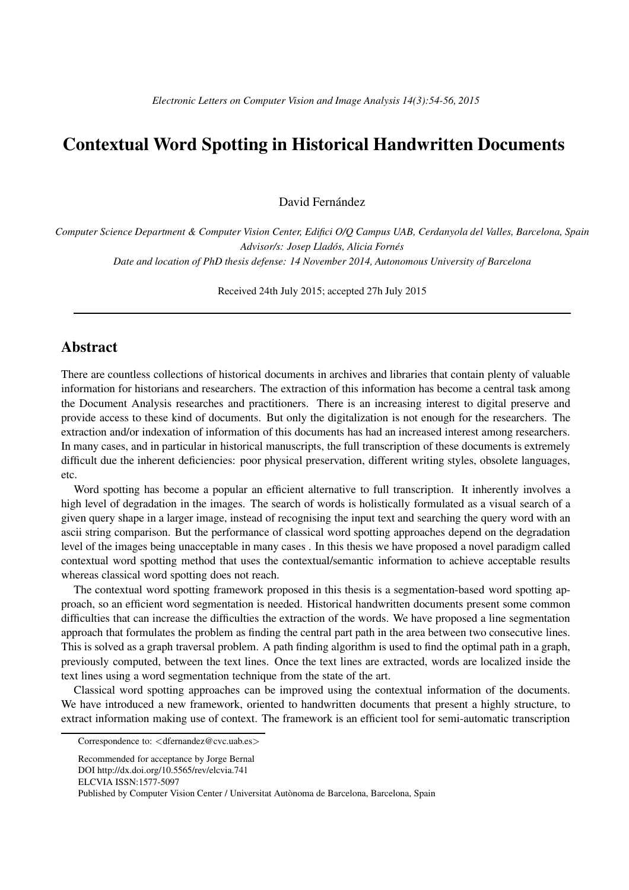## Contextual Word Spotting in Historical Handwritten Documents

David Fernández

*Computer Science Department & Computer Vision Center, Edifici O/Q Campus UAB, Cerdanyola del Valles, Barcelona, Spain Advisor/s: Josep Lladós, Alicia Fornés Date and location of PhD thesis defense: 14 November 2014, Autonomous University of Barcelona*

Received 24th July 2015; accepted 27h July 2015

## Abstract

There are countless collections of historical documents in archives and libraries that contain plenty of valuable information for historians and researchers. The extraction of this information has become a central task among the Document Analysis researches and practitioners. There is an increasing interest to digital preserve and provide access to these kind of documents. But only the digitalization is not enough for the researchers. The extraction and/or indexation of information of this documents has had an increased interest among researchers. In many cases, and in particular in historical manuscripts, the full transcription of these documents is extremely difficult due the inherent deficiencies: poor physical preservation, different writing styles, obsolete languages, etc.

Word spotting has become a popular an efficient alternative to full transcription. It inherently involves a high level of degradation in the images. The search of words is holistically formulated as a visual search of a given query shape in a larger image, instead of recognising the input text and searching the query word with an ascii string comparison. But the performance of classical word spotting approaches depend on the degradation level of the images being unacceptable in many cases . In this thesis we have proposed a novel paradigm called contextual word spotting method that uses the contextual/semantic information to achieve acceptable results whereas classical word spotting does not reach.

The contextual word spotting framework proposed in this thesis is a segmentation-based word spotting approach, so an efficient word segmentation is needed. Historical handwritten documents present some common difficulties that can increase the difficulties the extraction of the words. We have proposed a line segmentation approach that formulates the problem as finding the central part path in the area between two consecutive lines. This is solved as a graph traversal problem. A path finding algorithm is used to find the optimal path in a graph, previously computed, between the text lines. Once the text lines are extracted, words are localized inside the text lines using a word segmentation technique from the state of the art.

Classical word spotting approaches can be improved using the contextual information of the documents. We have introduced a new framework, oriented to handwritten documents that present a highly structure, to extract information making use of context. The framework is an efficient tool for semi-automatic transcription

Correspondence to: <dfernandez@cvc.uab.es>

Recommended for acceptance by Jorge Bernal

DOI http://dx.doi.org/10.5565/rev/elcvia.741

ELCVIA ISSN:1577-5097

Published by Computer Vision Center / Universitat Autònoma de Barcelona, Barcelona, Spain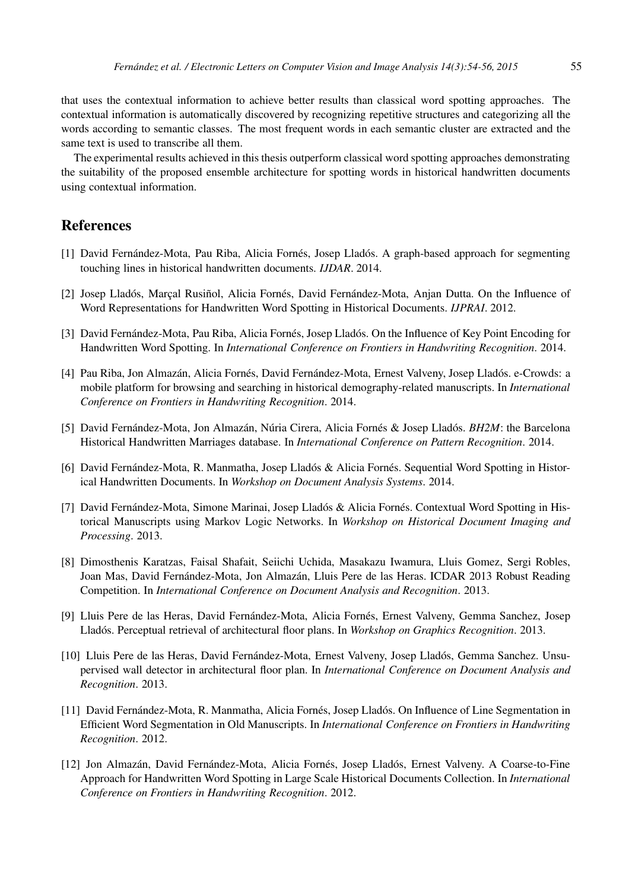that uses the contextual information to achieve better results than classical word spotting approaches. The contextual information is automatically discovered by recognizing repetitive structures and categorizing all the words according to semantic classes. The most frequent words in each semantic cluster are extracted and the same text is used to transcribe all them.

The experimental results achieved in this thesis outperform classical word spotting approaches demonstrating the suitability of the proposed ensemble architecture for spotting words in historical handwritten documents using contextual information.

## References

- [1] David Fernández-Mota, Pau Riba, Alicia Fornés, Josep Lladós. A graph-based approach for segmenting touching lines in historical handwritten documents. *IJDAR*. 2014.
- [2] Josep Lladós, Marçal Rusiñol, Alicia Fornés, David Fernández-Mota, Anjan Dutta. On the Influence of Word Representations for Handwritten Word Spotting in Historical Documents. *IJPRAI*. 2012.
- [3] David Fernández-Mota, Pau Riba, Alicia Fornés, Josep Lladós. On the Influence of Key Point Encoding for Handwritten Word Spotting. In *International Conference on Frontiers in Handwriting Recognition*. 2014.
- [4] Pau Riba, Jon Almazán, Alicia Fornés, David Fernández-Mota, Ernest Valveny, Josep Lladós. e-Crowds: a mobile platform for browsing and searching in historical demography-related manuscripts. In *International Conference on Frontiers in Handwriting Recognition*. 2014.
- [5] David Fernández-Mota, Jon Almazán, Núria Cirera, Alicia Fornés & Josep Lladós. *BH2M*: the Barcelona Historical Handwritten Marriages database. In *International Conference on Pattern Recognition*. 2014.
- [6] David Fernández-Mota, R. Manmatha, Josep Lladós & Alicia Fornés. Sequential Word Spotting in Historical Handwritten Documents. In *Workshop on Document Analysis Systems*. 2014.
- [7] David Fernández-Mota, Simone Marinai, Josep Lladós & Alicia Fornés. Contextual Word Spotting in Historical Manuscripts using Markov Logic Networks. In *Workshop on Historical Document Imaging and Processing*. 2013.
- [8] Dimosthenis Karatzas, Faisal Shafait, Seiichi Uchida, Masakazu Iwamura, Lluis Gomez, Sergi Robles, Joan Mas, David Fernández-Mota, Jon Almazán, Lluis Pere de las Heras. ICDAR 2013 Robust Reading Competition. In *International Conference on Document Analysis and Recognition*. 2013.
- [9] Lluis Pere de las Heras, David Fernández-Mota, Alicia Fornés, Ernest Valveny, Gemma Sanchez, Josep Llad´os. Perceptual retrieval of architectural floor plans. In *Workshop on Graphics Recognition*. 2013.
- [10] Lluis Pere de las Heras, David Fernández-Mota, Ernest Valveny, Josep Lladós, Gemma Sanchez. Unsupervised wall detector in architectural floor plan. In *International Conference on Document Analysis and Recognition*. 2013.
- [11] David Fernández-Mota, R. Manmatha, Alicia Fornés, Josep Lladós. On Influence of Line Segmentation in Efficient Word Segmentation in Old Manuscripts. In *International Conference on Frontiers in Handwriting Recognition*. 2012.
- [12] Jon Almazán, David Fernández-Mota, Alicia Fornés, Josep Lladós, Ernest Valveny. A Coarse-to-Fine Approach for Handwritten Word Spotting in Large Scale Historical Documents Collection. In *International Conference on Frontiers in Handwriting Recognition*. 2012.